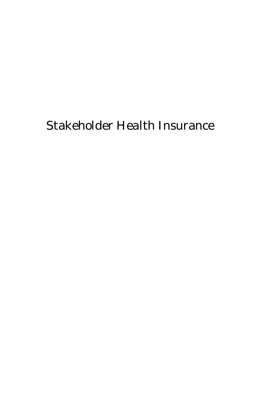# Stakeholder Health Insurance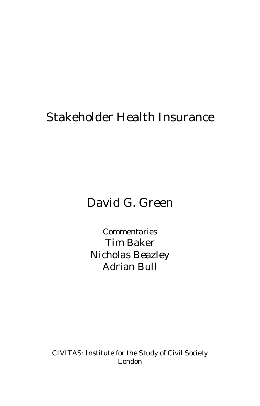# Stakeholder Health Insurance

# David G. Green

Commentaries Tim Baker Nicholas Beazley Adrian Bull

CIVITAS: Institute for the Study of Civil Society London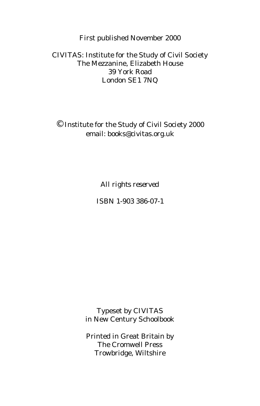### First published November 2000

# CIVITAS: Institute for the Study of Civil Society The Mezzanine, Elizabeth House 39 York Road London SE1 7NQ

# © Institute for the Study of Civil Society 2000 email: books@civitas.org.uk

*All rights reserved*

ISBN 1-903 386-07-1

Typeset by CIVITAS in New Century Schoolbook

Printed in Great Britain by The Cromwell Press Trowbridge, Wiltshire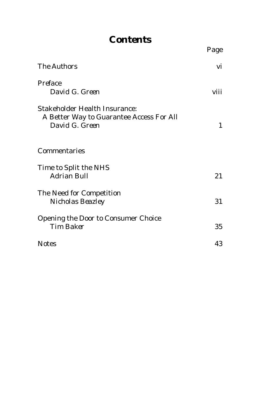# *Contents*

|                                                                                                    | Page |
|----------------------------------------------------------------------------------------------------|------|
| <i>The Authors</i>                                                                                 | vi   |
| Preface<br>David G. Green                                                                          | viii |
| <b>Stakeholder Health Insurance:</b><br>A Better Way to Guarantee Access For All<br>David G. Green | 1    |
| Commentaries                                                                                       |      |
| Time to Split the NHS<br>Adrian Bull                                                               | 21   |
| The Need for Competition<br>Nicholas Beazley                                                       | 31   |
| <b>Opening the Door to Consumer Choice</b><br><b>Tim Baker</b>                                     | 35   |
| <b>Notes</b>                                                                                       | 43   |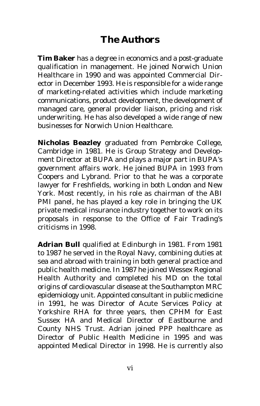# *The Authors*

**Tim Baker** has a degree in economics and a post-graduate qualification in management. He joined Norwich Union Healthcare in 1990 and was appointed Commercial Director in December 1993. He is responsible for a wide range of marketing-related activities which include marketing communications, product development, the development of managed care, general provider liaison, pricing and risk underwriting. He has also developed a wide range of new businesses for Norwich Union Healthcare.

**Nicholas Beazley** graduated from Pembroke College, Cambridge in 1981. He is Group Strategy and Development Director at BUPA and plays a major part in BUPA's government affairs work. He joined BUPA in 1993 from Coopers and Lybrand. Prior to that he was a corporate lawyer for Freshfields, working in both London and New York. Most recently, in his role as chairman of the ABI PMI panel, he has played a key role in bringing the UK private medical insurance industry together to work on its proposals in response to the Office of Fair Trading's criticisms in 1998.

**Adrian Bull** qualified at Edinburgh in 1981. From 1981 to 1987 he served in the Royal Navy, combining duties at sea and abroad with training in both general practice and public health medicine. In 1987 he joined Wessex Regional Health Authority and completed his MD on the total origins of cardiovascular disease at the Southampton MRC epidemiology unit. Appointed consultant in public medicine in 1991, he was Director of Acute Services Policy at Yorkshire RHA for three years, then CPHM for East Sussex HA and Medical Director of Eastbourne and County NHS Trust. Adrian joined PPP healthcare as Director of Public Health Medicine in 1995 and was appointed Medical Director in 1998. He is currently also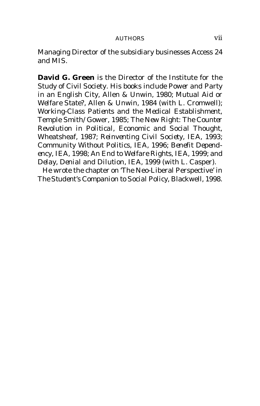#### AUTHORS vii

Managing Director of the subsidiary businesses Access 24 and MIS.

**David G. Green** is the Director of the Institute for the Study of Civil Society. His books include *Power and Party in an English City*, Allen & Unwin, 1980; *Mutual Aid or Welfare State?*, Allen & Unwin, 1984 (with L. Cromwell); *Working-Class Patients and the Medical Establishment*, Temple Smith/ Gower, 1985; *The New Right: The Counter Revolution in Political, Economic and Social Thought*, Wheatsheaf, 1987; *Reinventing Civil Society*, IEA, 1993; *Community Without Politics*, IEA, 1996; *Benefit Dependency*, IEA, 1998; *An End to Welfare Rights*, IEA, 1999; and *Delay, Denial and Dilution*, IEA, 1999 (with L. Casper).

He wrote the chapter on 'The Neo-Liberal Perspective' in *The Student's Companion to Social Policy*, Blackwell, 1998.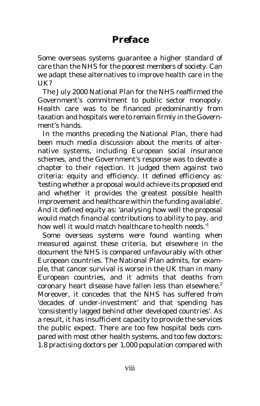# *Preface*

Some overseas systems guarantee a higher standard of care than the NHS for the poorest members of society. Can we adapt these alternatives to improve health care in the UK?

The July 2000 National Plan for the NHS reaffirmed the Government's commitment to public sector monopoly. Health care was to be financed predominantly from taxation and hospitals were to remain firmly in the Government's hands.

In the months preceding the National Plan, there had been much media discussion about the merits of alternative systems, including European social insurance schemes, and the Government's response was to devote a chapter to their rejection. It judged them against two criteria: equity and efficiency. It defined efficiency as: 'testing whether a proposal would achieve its proposed end and whether it provides the greatest possible health improvement and healthcare within the funding available'. And it defined equity as: 'analysing how well the proposal would match financial contributions to ability to pay, and how well it would match healthcare to health needs.<sup>'1</sup>

Some overseas systems were found wanting when measured against these criteria, but elsewhere in the document the NHS is compared unfavourably with other European countries. The National Plan admits, for example, that cancer survival is worse in the UK than in many European countries, and it admits that deaths from coronary heart disease have fallen less than elsewhere.<sup>2</sup> Moreover, it concedes that the NHS has suffered from 'decades of under-investment' and that spending has 'consistently lagged behind other developed countries'. As a result, it has insufficient capacity to provide the services the public expect. There are too few hospital beds compared with most other health systems, and too few doctors: 1.8 practising doctors per 1,000 population compared with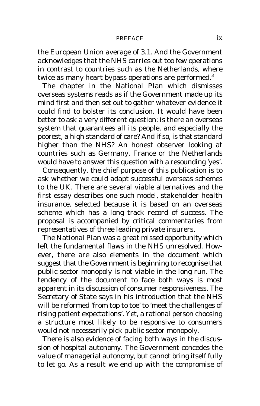#### PREFACE ix

the European Union average of 3.1. And the Government acknowledges that the NHS carries out too few operations in contrast to countries such as the Netherlands, where twice as many heart bypass operations are performed.<sup>3</sup>

The chapter in the National Plan which dismisses overseas systems reads as if the Government made up its mind first and then set out to gather whatever evidence it could find to bolster its conclusion. It would have been better to ask a very different question: is there an overseas system that guarantees all its people, and especially the poorest, a high standard of care? And if so, is that standard higher than the NHS? An honest observer looking at countries such as Germany, France or the Netherlands would have to answer this question with a resounding 'yes'.

Consequently, the chief purpose of this publication is to ask whether we could adapt successful overseas schemes to the UK. There are several viable alternatives and the first essay describes one such model, stakeholder health insurance, selected because it is based on an overseas scheme which has a long track record of success. The proposal is accompanied by critical commentaries from representatives of three leading private insurers.

The National Plan was a great missed opportunity which left the fundamental flaws in the NHS unresolved. However, there are also elements in the document which suggest that the Government is beginning to recognise that public sector monopoly is not viable in the long run. The tendency of the document to face both ways is most apparent in its discussion of consumer responsiveness. The Secretary of State says in his introduction that the NHS will be reformed 'from top to toe' to 'meet the challenges of rising patient expectations'. Yet, a rational person choosing a structure most likely to be responsive to consumers would not necessarily pick public sector monopoly.

There is also evidence of facing both ways in the discussion of hospital autonomy. The Government concedes the value of managerial autonomy, but cannot bring itself fully to let go. As a result we end up with the compromise of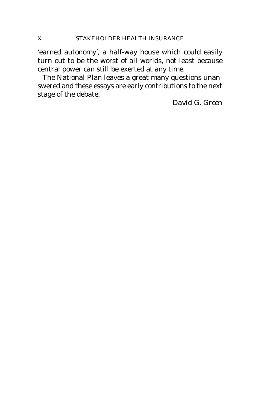'earned autonomy', a half-way house which could easily turn out to be the worst of all worlds, not least because central power can still be exerted at any time.

The National Plan leaves a great many questions unanswered and these essays are early contributions to the next stage of the debate.

*David G. Green*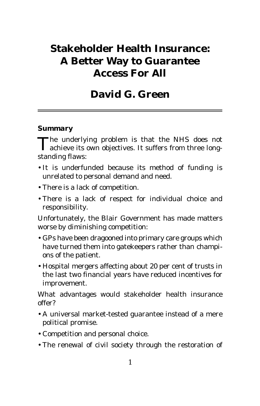# **Stakeholder Health Insurance: A Better Way to Guarantee Access For All**

# **David G. Green**

### *Summary*

The underlying problem is that the NHS does not **L** achieve its own objectives. It suffers from three longstanding flaws:

- •It is underfunded because its method of funding is unrelated to personal demand and need.
- •There is a lack of competition.
- •There is a lack of respect for individual choice and responsibility.

Unfortunately, the Blair Government has made matters worse by diminishing competition:

- •GPs have been dragooned into primary care groups which have turned them into gatekeepers rather than champions of the patient.
- •Hospital mergers affecting about 20 per cent of trusts in the last two financial years have reduced incentives for improvement.

What advantages would stakeholder health insurance offer?

- •A universal market-tested guarantee instead of a mere political promise.
- •Competition and personal choice.
- •The renewal of civil society through the restoration of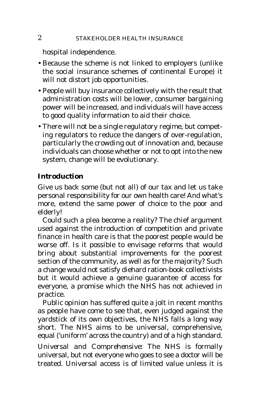hospital independence.

- •Because the scheme is not linked to employers (unlike the social insurance schemes of continental Europe) it will not distort job opportunities.
- •People will buy insurance collectively with the result that administration costs will be lower, consumer bargaining power will be increased, and individuals will have access to good quality information to aid their choice.
- •There will not be a single regulatory regime, but competing regulators to reduce the dangers of over-regulation, particularly the crowding out of innovation and, because individuals can choose whether or not to opt into the new system, change will be evolutionary.

# *Introduction*

Give us back some (but not all) of our tax and let us take personal responsibility for our own health care! And what's more, extend the same power of choice to the poor and elderly!

Could such a plea become a reality? The chief argument used against the introduction of competition and private finance in health care is that the poorest people would be worse off. Is it possible to envisage reforms that would bring about substantial improvements for the poorest section of the community, as well as for the majority? Such a change would not satisfy diehard ration-book collectivists but it would achieve a genuine guarantee of access for everyone, a promise which the NHS has not achieved in practice.

Public opinion has suffered quite a jolt in recent months as people have come to see that, even judged against the yardstick of its own objectives, the NHS falls a long way short. The NHS aims to be universal, comprehensive, equal ('uniform' across the country) and of a high standard.

*Universal and Comprehensive*: The NHS is formally universal, but not everyone who goes to see a doctor will be treated. Universal access is of limited value unless it is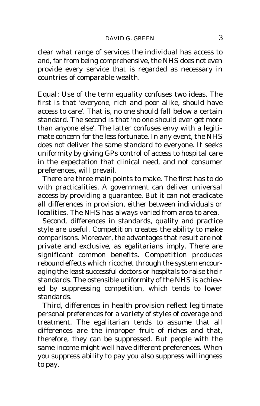clear what range of services the individual has access to and, far from being comprehensive, the NHS does not even provide every service that is regarded as necessary in countries of comparable wealth.

*Equal*: Use of the term equality confuses two ideas. The first is that 'everyone, rich and poor alike, should have access to care'. That is, no one should fall below a certain standard. The second is that 'no one should ever get more than anyone else'. The latter confuses envy with a legitimate concern for the less fortunate. In any event, the NHS does not deliver the same standard to everyone. It seeks uniformity by giving GPs control of access to hospital care in the expectation that clinical need, and not consumer preferences, will prevail.

There are three main points to make. The first has to do with practicalities. A government can deliver universal access by providing a guarantee. But it can not eradicate all differences in provision, either between individuals or localities. The NHS has always varied from area to area.

Second, differences in standards, quality and practice style are useful. Competition creates the ability to make comparisons. Moreover, the advantages that result are not private and exclusive, as egalitarians imply. There are significant common benefits. Competition produces rebound effects which ricochet through the system encouraging the least successful doctors or hospitals to raise their standards. The ostensible uniformity of the NHS is achieved by suppressing competition, which tends to lower standards.

Third, differences in health provision reflect legitimate personal preferences for a variety of styles of coverage and treatment. The egalitarian tends to assume that all differences are the improper fruit of riches and that, therefore, they can be suppressed. But people with the same income might well have different preferences. When you suppress *ability* to pay you also suppress *willingness* to pay.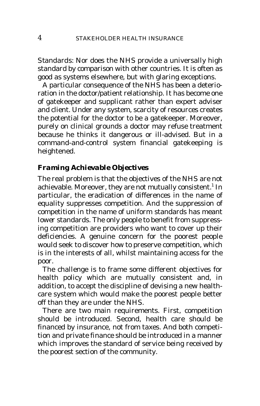*Standards*: Nor does the NHS provide a universally high standard by comparison with other countries. It is often as good as systems elsewhere, but with glaring exceptions.

A particular consequence of the NHS has been a deterioration in the doctor/patient relationship. It has become one of gatekeeper and supplicant rather than expert adviser and client. Under any system, scarcity of resources creates the potential for the doctor to be a gatekeeper. Moreover, purely on clinical grounds a doctor may refuse treatment because he thinks it dangerous or ill-advised. But in a command-and-control system financial gatekeeping is heightened.

### *Framing Achievable Objectives*

The real problem is that the objectives of the NHS are not achievable. Moreover, they are not mutually consistent. $^{\rm 1}$  In particular, the eradication of differences in the name of equality suppresses competition. And the suppression of competition in the name of *uniform* standards has meant *lower* standards. The only people to benefit from suppressing competition are providers who want to cover up their deficiencies. A genuine concern for the poorest people would seek to discover how to preserve competition, which is in the interests of all, whilst maintaining access for the poor.

The challenge is to frame some different objectives for health policy which are mutually consistent and, in addition, to accept the discipline of devising a new healthcare system which would make the poorest people better off than they are under the NHS.

There are two main requirements. First, competition should be introduced. Second, health care should be financed by insurance, not from taxes. And both competition and private finance should be introduced in a manner which improves the standard of service being received by the poorest section of the community.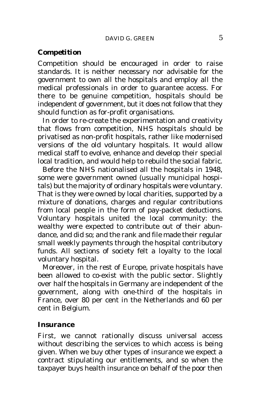### *Competition*

Competition should be encouraged in order to raise standards. It is neither necessary nor advisable for the government to own all the hospitals and employ all the medical professionals in order to guarantee access. For there to be genuine competition, hospitals should be independent of government, but it does not follow that they should function as for-profit organisations.

In order to re-create the experimentation and creativity that flows from competition, NHS hospitals should be privatised as non-profit hospitals, rather like modernised versions of the old voluntary hospitals. It would allow medical staff to evolve, enhance and develop their special local tradition, and would help to rebuild the social fabric.

Before the NHS nationalised all the hospitals in 1948, some were government owned (usually municipal hospitals) but the majority of ordinary hospitals were voluntary. That is they were owned by local charities, supported by a mixture of donations, charges and regular contributions from local people in the form of pay-packet deductions. Voluntary hospitals united the local community: the wealthy were expected to contribute out of their abundance, and did so; and the rank and file made their regular small weekly payments through the hospital contributory funds. All sections of society felt a loyalty to the local voluntary hospital.

Moreover, in the rest of Europe, private hospitals have been allowed to co-exist with the public sector. Slightly over half the hospitals in Germany are independent of the government, along with one-third of the hospitals in France, over 80 per cent in the Netherlands and 60 per cent in Belgium.

#### *Insurance*

First, we cannot rationally discuss universal access without describing the services to which access is being given. When we buy other types of insurance we expect a contract stipulating our entitlements, and so when the taxpayer buys health insurance on behalf of the poor then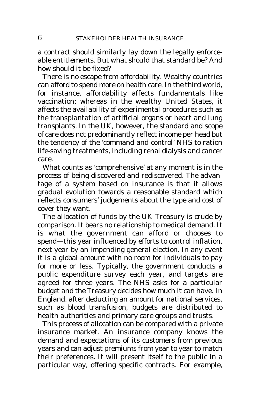a contract should similarly lay down the legally enforceable entitlements. But what should that standard be? And how should it be fixed?

There is no escape from affordability. Wealthy countries can afford to spend more on health care. In the third world, for instance, affordability affects fundamentals like vaccination; whereas in the wealthy United States, it affects the availability of experimental procedures such as the transplantation of artificial organs or heart and lung transplants. In the UK, however, the standard and scope of care does not predominantly reflect income per head but the tendency of the 'command-and-control' NHS to ration life-saving treatments, including renal dialysis and cancer care.

What counts as 'comprehensive' at any moment is in the process of being discovered and rediscovered. The advantage of a system based on insurance is that it allows gradual evolution towards a reasonable standard which reflects consumers' judgements about the type and cost of cover they want.

The allocation of funds by the UK Treasury is crude by comparison. It bears no relationship to medical demand. It is what the government can afford or chooses to spend—this year influenced by efforts to control inflation, next year by an impending general election. In any event it is a global amount with no room for individuals to pay for more or less. Typically, the government conducts a public expenditure survey each year, and targets are agreed for three years. The NHS asks for a particular budget and the Treasury decides how much it can have. In England, after deducting an amount for national services, such as blood transfusion, budgets are distributed to health authorities and primary care groups and trusts.

This process of allocation can be compared with a private insurance market. An insurance company knows the demand and expectations of its customers from previous years and can adjust premiums from year to year to match their preferences. It will present itself to the public in a particular way, offering specific contracts. For example,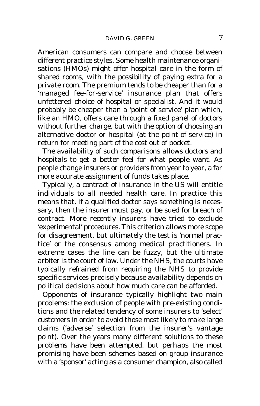American consumers can compare and choose between different practice styles. Some health maintenance organisations (HMOs) might offer hospital care in the form of shared rooms, with the possibility of paying extra for a private room. The premium tends to be cheaper than for a 'managed fee-for-service' insurance plan that offers unfettered choice of hospital or specialist. And it would probably be cheaper than a 'point of service' plan which, like an HMO, offers care through a fixed panel of doctors without further charge, but with the option of choosing an alternative doctor or hospital (at the point-of-service) in return for meeting part of the cost out of pocket.

The availability of such comparisons allows doctors and hospitals to get a better feel for what people want. As people change insurers or providers from year to year, a far more accurate assignment of funds takes place.

Typically, a contract of insurance in the US will entitle individuals to all needed health care. In practice this means that, if a qualified doctor says something is necessary, then the insurer must pay, or be sued for breach of contract. More recently insurers have tried to exclude 'experimental' procedures. This criterion allows more scope for disagreement, but ultimately the test is 'normal practice' or the consensus among medical practitioners. In extreme cases the line can be fuzzy, but the ultimate arbiter is the court of law. Under the NHS, the courts have typically refrained from requiring the NHS to provide specific services precisely because availability depends on political decisions about how much care can be afforded.

Opponents of insurance typically highlight two main problems: the exclusion of people with pre-existing conditions and the related tendency of some insurers to 'select' customers in order to avoid those most likely to make large claims ('adverse' selection from the insurer's vantage point). Over the years many different solutions to these problems have been attempted, but perhaps the most promising have been schemes based on group insurance with a 'sponsor' acting as a consumer champion, also called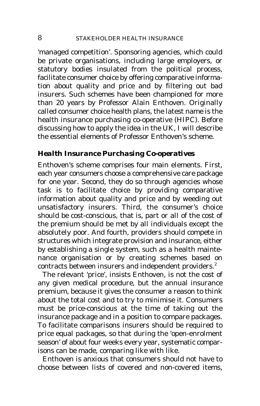'managed competition'. Sponsoring agencies, which could be private organisations, including large employers, or statutory bodies insulated from the political process, facilitate consumer choice by offering comparative information about quality and price and by filtering out bad insurers. Such schemes have been championed for more than 20 years by Professor Alain Enthoven. Originally called consumer choice health plans, the latest name is the health insurance purchasing co-operative (HIPC). Before discussing how to apply the idea in the UK, I will describe the essential elements of Professor Enthoven's scheme.

# *Health Insurance Purchasing Co-operatives*

Enthoven's scheme comprises four main elements. First, each year consumers choose a comprehensive care package for one year. Second, they do so through agencies whose task is to facilitate choice by providing comparative information about quality and price and by weeding out unsatisfactory insurers. Third, the consumer's choice should be cost-conscious, that is, part or all of the cost of the premium should be met by all individuals except the absolutely poor. And fourth, providers should compete in structures which integrate provision and insurance, either by establishing a single system, such as a health maintenance organisation or by creating schemes based on contracts between insurers and independent providers.<sup>2</sup>

The relevant 'price', insists Enthoven, is not the cost of any given medical procedure, but the annual insurance premium, because it gives the consumer a reason to think about the total cost and to try to minimise it. Consumers must be price-conscious at the time of taking out the insurance package and in a position to compare packages. To facilitate comparisons insurers should be required to price equal packages, so that during the 'open-enrolment season' of about four weeks every year, systematic comparisons can be made, comparing like with like.

Enthoven is anxious that consumers should not have to choose between lists of covered and non-covered items,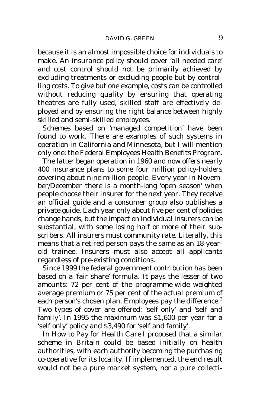because it is an almost impossible choice for individuals to make. An insurance policy should cover 'all needed care' and cost control should not be primarily achieved by excluding treatments or excluding people but by controlling costs. To give but one example, costs can be controlled without reducing quality by ensuring that operating theatres are fully used, skilled staff are effectively deployed and by ensuring the right balance between highly skilled and semi-skilled employees.

Schemes based on 'managed competition' have been found to work. There are examples of such systems in operation in California and Minnesota, but I will mention only one: the Federal Employees Health Benefits Program.

The latter began operation in 1960 and now offers nearly 400 insurance plans to some four million policy-holders covering about nine million people. Every year in November/December there is a month-long 'open season' when people choose their insurer for the next year. They receive an official guide and a consumer group also publishes a private guide. Each year only about five per cent of policies change hands, but the impact on individual insurers can be substantial, with some losing half or more of their subscribers. All insurers must community rate. Literally, this means that a retired person pays the same as an 18-yearold trainee. Insurers must also accept all applicants regardless of pre-existing conditions.

Since 1999 the federal government contribution has been based on a 'fair share' formula. It pays the lesser of two amounts: 72 per cent of the programme-wide weighted average premium or 75 per cent of the actual premium of each person's chosen plan. Employees pay the difference.<sup>3</sup> Two types of cover are offered: 'self only' and 'self and family'. In 1995 the maximum was \$1,600 per year for a 'self only' policy and \$3,490 for 'self and family'.

In *How to Pay for Health Care* I proposed that a similar scheme in Britain could be based initially on health authorities, with each authority becoming the purchasing co-operative for its locality. If implemented, the end result would not be a pure market system, nor a pure collecti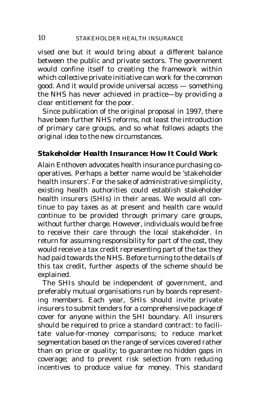vised one but it would bring about a different balance between the public and private sectors. The government would confine itself to creating the framework within which collective private initiative can work for the common good. And it would provide universal access — something the NHS has never achieved in practice—by providing a clear entitlement for the poor.

Since publication of the original proposal in 1997, there have been further NHS reforms, not least the introduction of primary care groups, and so what follows adapts the original idea to the new circumstances.

# *Stakeholder Health Insurance: How It Could Work*

Alain Enthoven advocates health insurance purchasing cooperatives. Perhaps a better name would be 'stakeholder health insurers'. For the sake of administrative simplicity, existing health authorities could establish stakeholder health insurers (SHIs) in their areas. We would all continue to pay taxes as at present and health care would continue to be provided through primary care groups, without further charge. However, individuals would be free to receive their care through the local stakeholder. In return for assuming responsibility for part of the cost, they would receive a tax credit representing part of the tax they had paid towards the NHS. Before turning to the details of this tax credit, further aspects of the scheme should be explained.

The SHIs should be independent of government, and preferably mutual organisations run by boards representing members. Each year, SHIs should invite private insurers to submit tenders for a comprehensive package of cover for anyone within the SHI boundary. All insurers should be required to price a standard contract: to facilitate value-for-money comparisons; to reduce market segmentation based on the range of services covered rather than on price or quality; to guarantee no hidden gaps in coverage; and to prevent risk selection from reducing incentives to produce value for money. This standard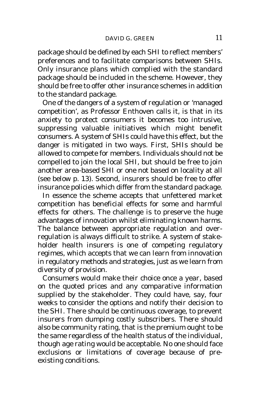package should be defined by each SHI to reflect members' preferences and to facilitate comparisons between SHIs. Only insurance plans which complied with the standard package should be included in the scheme. However, they should be free to offer other insurance schemes in addition to the standard package.

One of the dangers of a system of regulation or 'managed competition', as Professor Enthoven calls it, is that in its anxiety to protect consumers it becomes too intrusive, suppressing valuable initiatives which might benefit consumers. A system of SHIs could have this effect, but the danger is mitigated in two ways. First, SHIs should be allowed to compete for members. Individuals should not be compelled to join the local SHI, but should be free to join another area-based SHI or one not based on locality at all (see below p. 13). Second, insurers should be free to offer insurance policies which differ from the standard package.

In essence the scheme accepts that unfettered market competition has beneficial effects for some and harmful effects for others. The challenge is to preserve the huge advantages of innovation whilst eliminating known harms. The balance between appropriate regulation and overregulation is always difficult to strike. A system of stakeholder health insurers is one of competing regulatory regimes, which accepts that we can learn from innovation in regulatory methods and strategies, just as we learn from diversity of provision.

Consumers would make their choice once a year, based on the quoted prices and any comparative information supplied by the stakeholder. They could have, say, four weeks to consider the options and notify their decision to the SHI. There should be continuous coverage, to prevent insurers from dumping costly subscribers. There should also be community rating, that is the premium ought to be the same regardless of the health status of the individual, though age rating would be acceptable. No one should face exclusions or limitations of coverage because of preexisting conditions.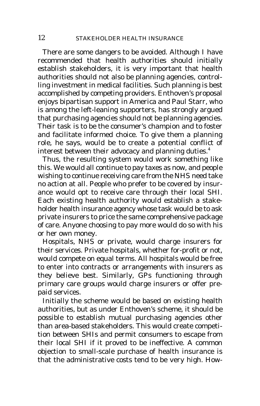There are some dangers to be avoided. Although I have recommended that health authorities should initially establish stakeholders, it is very important that health authorities should not also be planning agencies, controlling investment in medical facilities. Such planning is best accomplished by competing providers. Enthoven's proposal enjoys bipartisan support in America and Paul Starr, who is among the left-leaning supporters, has strongly argued that purchasing agencies should not be planning agencies. Their task is to be the consumer's champion and to foster and facilitate informed choice. To give them a planning role, he says, would be to create a potential conflict of interest between their advocacy and planning duties.<sup>4</sup>

Thus, the resulting system would work something like this. We would all continue to pay taxes as now, and people wishing to continue receiving care from the NHS need take no action at all. People who prefer to be covered by insurance would opt to receive care through their local SHI. Each existing health authority would establish a stakeholder health insurance agency whose task would be to ask private insurers to price the same comprehensive package of care. Anyone choosing to pay more would do so with his or her own money.

Hospitals, NHS or private, would charge insurers for their services. Private hospitals, whether for-profit or not, would compete on equal terms. All hospitals would be free to enter into contracts or arrangements with insurers as they believe best. Similarly, GPs functioning through primary care groups would charge insurers or offer prepaid services.

Initially the scheme would be based on existing health authorities, but as under Enthoven's scheme, it should be possible to establish mutual purchasing agencies other than area-based stakeholders. This would create competition between SHIs and permit consumers to escape from their local SHI if it proved to be ineffective. A common objection to small-scale purchase of health insurance is that the administrative costs tend to be very high. How-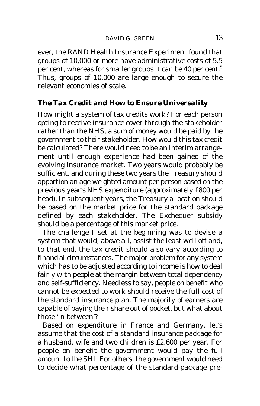ever, the RAND Health Insurance Experiment found that groups of 10,000 or more have administrative costs of 5.5 per cent, whereas for smaller groups it can be 40 per cent.<sup>5</sup> Thus, groups of 10,000 are large enough to secure the relevant economies of scale.

## *The Tax Credit and How to Ensure Universality*

How might a system of tax credits work? For each person opting to receive insurance cover through the stakeholder rather than the NHS, a sum of money would be paid by the government to their stakeholder. How would this tax credit be calculated? There would need to be an interim arrangement until enough experience had been gained of the evolving insurance market. Two years would probably be sufficient, and during these two years the Treasury should apportion an age-weighted amount per person based on the previous year's NHS expenditure (approximately £800 per head). In subsequent years, the Treasury allocation should be based on the market price for the standard package defined by each stakeholder. The Exchequer subsidy should be a percentage of this market price.

The challenge I set at the beginning was to devise a system that would, above all, assist the least well off and, to that end, the tax credit should also vary according to financial circumstances. The major problem for any system which has to be adjusted according to income is how to deal fairly with people at the margin between total dependency and self-sufficiency. Needless to say, people on benefit who cannot be expected to work should receive the full cost of the standard insurance plan. The majority of earners are capable of paying their share out of pocket, but what about those 'in between'?

Based on expenditure in France and Germany, let's assume that the cost of a standard insurance package for a husband, wife and two children is £2,600 per year. For people on benefit the government would pay the full amount to the SHI. For others, the government would need to decide what percentage of the standard-package pre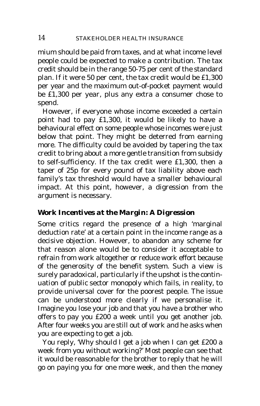mium should be paid from taxes, and at what income level people could be expected to make a contribution. The tax credit should be in the range 50-75 per cent of the standard plan. If it were 50 per cent, the tax credit would be £1,300 per year and the maximum out-of-pocket payment would be £1,300 per year, plus any extra a consumer chose to spend.

However, if everyone whose income exceeded a certain point had to pay £1,300, it would be likely to have a behavioural effect on some people whose incomes were just below that point. They might be deterred from earning more. The difficulty could be avoided by tapering the tax credit to bring about a more gentle transition from subsidy to self-sufficiency. If the tax credit were £1,300, then a taper of 25p for every pound of tax liability above each family's tax threshold would have a smaller behavioural impact. At this point, however, a digression from the argument is necessary.

# *Work Incentives at the Margin: A Digression*

Some critics regard the presence of a high 'marginal deduction rate' at a certain point in the income range as a decisive objection. However, to abandon any scheme for that reason alone would be to consider it acceptable to refrain from work altogether or reduce work effort because of the generosity of the benefit system. Such a view is surely paradoxical, particularly if the upshot is the continuation of public sector monopoly which fails, in reality, to provide universal cover for the poorest people. The issue can be understood more clearly if we personalise it. Imagine you lose your job and that you have a brother who offers to pay you £200 a week until you get another job. After four weeks you are still out of work and he asks when you are expecting to get a job.

You reply, 'Why should I get a job when I can get £200 a week from you without working?' Most people can see that it would be reasonable for the brother to reply that he will go on paying you for one more week, and then the money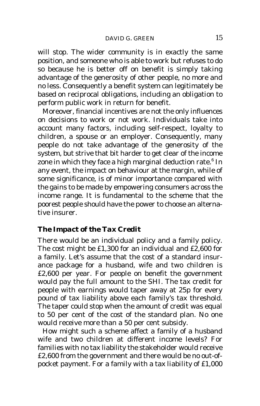will stop. The wider community is in exactly the same position, and someone who is able to work but refuses to do so because he is better off on benefit is simply taking advantage of the generosity of other people, no more and no less. Consequently a benefit system can legitimately be based on reciprocal obligations, including an obligation to perform public work in return for benefit.

Moreover, financial incentives are not the only influences on decisions to work or not work. Individuals take into account many factors, including self-respect, loyalty to children, a spouse or an employer. Consequently, many people do not take advantage of the generosity of the system, but strive that bit harder to get clear of the income zone in which they face a high marginal deduction rate. $^6$  In any event, the impact on behaviour at the margin, while of some significance, is of minor importance compared with the gains to be made by empowering consumers across the income range. It is fundamental to the scheme that the poorest people should have the power to choose an alternative insurer.

# *The Impact of the Tax Credit*

There would be an individual policy and a family policy. The cost might be £1,300 for an individual and £2,600 for a family. Let's assume that the cost of a standard insurance package for a husband, wife and two children is £2,600 per year. For people on benefit the government would pay the full amount to the SHI. The tax credit for people with earnings would taper away at 25p for every pound of tax liability above each family's tax threshold. The taper could stop when the amount of credit was equal to 50 per cent of the cost of the standard plan. No one would receive more than a 50 per cent subsidy.

How might such a scheme affect a family of a husband wife and two children at different income levels? For families with no tax liability the stakeholder would receive £2,600 from the government and there would be no out-ofpocket payment. For a family with a tax liability of £1,000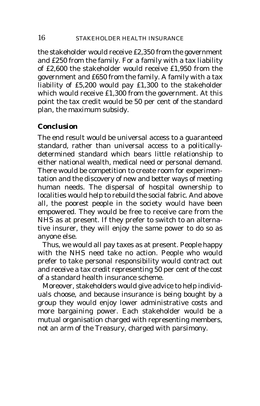the stakeholder would receive £2,350 from the government and £250 from the family. For a family with a tax liability of £2,600 the stakeholder would receive £1,950 from the government and £650 from the family. A family with a tax liability of £5,200 would pay £1,300 to the stakeholder which would receive £1,300 from the government. At this point the tax credit would be 50 per cent of the standard plan, the maximum subsidy.

### *Conclusion*

The end result would be universal access to a guaranteed standard, rather than universal access to a politicallydetermined standard which bears little relationship to either national wealth, medical need or personal demand. There would be competition to create room for experimentation and the discovery of new and better ways of meeting human needs. The dispersal of hospital ownership to localities would help to rebuild the social fabric. And above all, the poorest people in the society would have been empowered. They would be free to receive care from the NHS as at present. If they prefer to switch to an alternative insurer, they will enjoy the same power to do so as anyone else.

Thus, we would all pay taxes as at present. People happy with the NHS need take no action. People who would prefer to take personal responsibility would contract out and receive a tax credit representing 50 per cent of the cost of a standard health insurance scheme.

Moreover, stakeholders would give advice to help individuals choose, and because insurance is being bought by a group they would enjoy lower administrative costs and more bargaining power. Each stakeholder would be a mutual organisation charged with representing members, not an arm of the Treasury, charged with parsimony.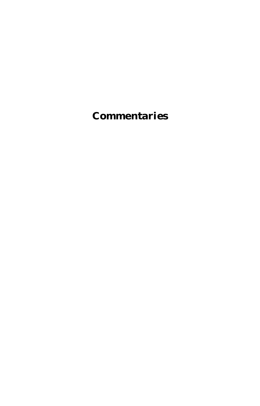**Commentaries**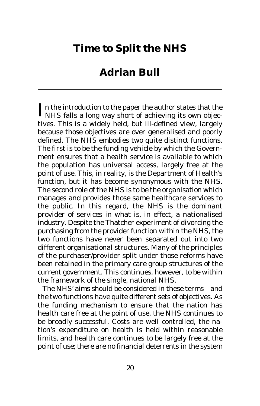# **Time to Split the NHS**

# **Adrian Bull**

In the introduction to the paper the author states that the<br>NHS falls a long way short of achieving its own objectives. This is a widely held, but ill-defined view, largely because those objectives are over generalised and poorly defined. The NHS embodies two quite distinct functions. The first is to be the funding vehicle by which the Government ensures that a health service is available to which the population has universal access, largely free at the point of use. This, in reality, is the Department of Health's function, but it has become synonymous with the NHS. The second role of the NHS is to be the organisation which manages and provides those same healthcare services to the public. In this regard, the NHS is the dominant provider of services in what is, in effect, a nationalised industry. Despite the Thatcher experiment of divorcing the purchasing from the provider function within the NHS, the two functions have never been separated out into two different organisational structures. Many of the principles of the purchaser/provider split under those reforms have been retained in the primary care group structures of the current government. This continues, however, to be within the framework of the single, national NHS.

The NHS' aims should be considered in these terms—and the two functions have quite different sets of objectives. As the funding mechanism to ensure that the nation has health care free at the point of use, the NHS continues to be broadly successful. Costs are well controlled, the nation's expenditure on health is held within reasonable limits, and health care continues to be largely free at the point of use; there are no financial deterrents in the system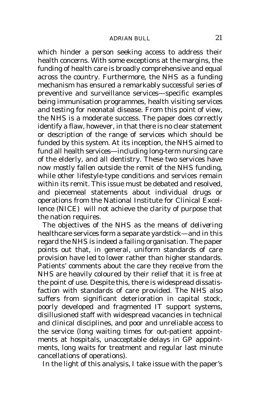which hinder a person seeking access to address their health concerns. With some exceptions at the margins, the funding of health care is broadly comprehensive and equal across the country. Furthermore, the NHS as a funding mechanism has ensured a remarkably successful series of preventive and surveillance services—specific examples being immunisation programmes, health visiting services and testing for neonatal disease. From this point of view, the NHS is a moderate success. The paper does correctly identify a flaw, however, in that there is no clear statement or description of the range of services which should be funded by this system. At its inception, the NHS aimed to fund all health services—including long-term nursing care of the elderly, and all dentistry. These two services have now mostly fallen outside the remit of the NHS funding, while other lifestyle-type conditions and services remain within its remit. This issue must be debated and resolved. and piecemeal statements about individual drugs or operations from the National Institute for Clinical Excellence (NICE) will not achieve the clarity of purpose that the nation requires.

The objectives of the NHS as the means of *delivering* healthcare services form a separate yardstick—and in this regard the NHS is indeed a failing organisation. The paper points out that, in general, uniform standards of care provision have led to lower rather than higher standards. Patients' comments about the care they receive from the NHS are heavily coloured by their relief that it is free at the point of use. Despite this, there is widespread dissatisfaction with standards of care provided. The NHS also suffers from significant deterioration in capital stock, poorly developed and fragmented IT support systems, disillusioned staff with widespread vacancies in technical and clinical disciplines, and poor and unreliable access to the service (long waiting times for out-patient appointments at hospitals, unacceptable delays in GP appointments, long waits for treatment and regular last minute cancellations of operations).

In the light of this analysis, I take issue with the paper's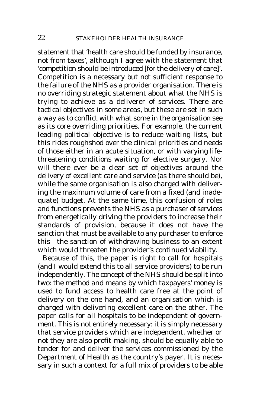statement that 'health care should be funded by insurance, not from taxes', although I agree with the statement that 'competition should be introduced [for the delivery of care]'. Competition is a necessary but not sufficient response to the failure of the NHS as a provider organisation. There is no overriding strategic statement about what the NHS is trying to achieve as a deliverer of services. There are tactical objectives in some areas, but these are set in such a way as to conflict with what some in the organisation see as its core overriding priorities. For example, the current leading political objective is to reduce waiting lists, but this rides roughshod over the clinical priorities and needs of those either in an acute situation, or with varying lifethreatening conditions waiting for elective surgery. Nor will there ever be a clear set of objectives around the delivery of excellent care and service (as there should be), while the same organisation is also charged with delivering the maximum volume of care from a fixed (and inadequate) budget. At the same time, this confusion of roles and functions prevents the NHS as a purchaser of services from energetically driving the providers to increase their standards of provision, because it does not have the sanction that must be available to any purchaser to enforce this—the sanction of withdrawing business to an extent which would threaten the provider's continued viability.

Because of this, the paper is right to call for hospitals (and I would extend this to all service providers) to be run independently. The concept of the NHS should be split into two: the method and means by which taxpayers' money is used to fund access to health care free at the point of delivery on the one hand, and an organisation which is charged with delivering excellent care on the other. The paper calls for all hospitals to be independent of government. This is not entirely necessary: it is simply necessary that service providers which are independent, whether or not they are also profit-making, should be equally able to tender for and deliver the services commissioned by the Department of Health as the country's payer. It is necessary in such a context for a full mix of providers to be able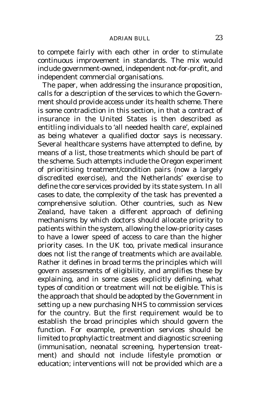to compete fairly with each other in order to stimulate continuous improvement in standards. The mix would include government-owned, independent not-for-profit, and independent commercial organisations.

The paper, when addressing the insurance proposition, calls for a description of the services to which the Government should provide access under its health scheme. There is some contradiction in this section, in that a contract of insurance in the United States is then described as entitling individuals to 'all needed health care', explained as being whatever a qualified doctor says is necessary. Several healthcare systems have attempted to define, by means of a list, those treatments which should be part of the scheme. Such attempts include the Oregon experiment of prioritising treatment/condition pairs (now a largely discredited exercise), and the Netherlands' exercise to define the core services provided by its state system. In all cases to date, the complexity of the task has prevented a comprehensive solution. Other countries, such as New Zealand, have taken a different approach of defining mechanisms by which doctors should allocate priority to patients within the system, allowing the low-priority cases to have a lower speed of access to care than the higher priority cases. In the UK too, private medical insurance does not list the range of treatments which are available. Rather it defines in broad terms the principles which will govern assessments of eligibility, and amplifies these by explaining, and in some cases explicitly defining, what types of condition or treatment will not be eligible. This is the approach that should be adopted by the Government in setting up a new purchasing NHS to commission services for the country. But the first requirement would be to establish the broad principles which should govern the function. For example, prevention services should be limited to prophylactic treatment and diagnostic screening (immunisation, neonatal screening, hypertension treatment) and should not include lifestyle promotion or education; interventions will not be provided which are a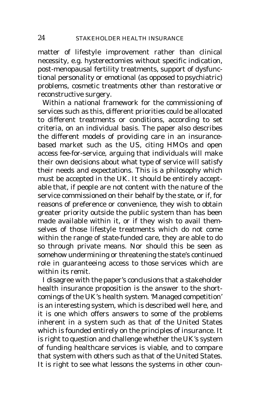matter of lifestyle improvement rather than clinical necessity, e.g. hysterectomies without specific indication, post-menopausal fertility treatments, support of dysfunctional personality or emotional (as opposed to psychiatric) problems, cosmetic treatments other than restorative or reconstructive surgery.

Within a national framework for the commissioning of services such as this, different priorities could be allocated to different treatments or conditions, according to set criteria, on an individual basis. The paper also describes the different models of providing care in an insurancebased market such as the US, citing HMOs and open access fee-for-service, arguing that individuals will make their own decisions about what type of service will satisfy their needs and expectations. This is a philosophy which must be accepted in the UK. It should be entirely acceptable that, if people are not content with the nature of the service commissioned on their behalf by the state, or if, for reasons of preference or convenience, they wish to obtain greater priority outside the public system than has been made available within it, or if they wish to avail themselves of those lifestyle treatments which do not come within the range of state-funded care, they are able to do so through private means. Nor should this be seen as somehow undermining or threatening the state's continued role in guaranteeing access to those services which are within its remit.

I disagree with the paper's conclusions that a stakeholder health insurance proposition is the answer to the shortcomings of the UK's health system. 'Managed competition' is an interesting system, which is described well here, and it is one which offers answers to some of the problems inherent in a system such as that of the United States which is founded entirely on the principles of insurance. It is right to question and challenge whether the UK's system of funding healthcare services is viable, and to compare that system with others such as that of the United States. It is right to see what lessons the systems in other coun-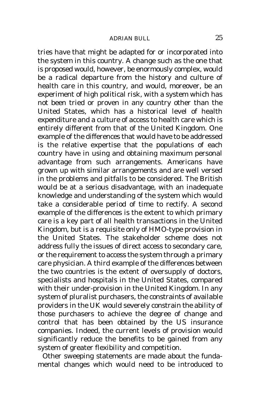tries have that might be adapted for or incorporated into the system in this country. A change such as the one that is proposed would, however, be enormously complex, would be a radical departure from the history and culture of health care in this country, and would, moreover, be an experiment of high political risk, with a system which has not been tried or proven in any country other than the United States, which has a historical level of health expenditure and a culture of access to health care which is entirely different from that of the United Kingdom. One example of the differences that would have to be addressed is the relative expertise that the populations of each country have in using and obtaining maximum personal advantage from such arrangements. Americans have grown up with similar arrangements and are well versed in the problems and pitfalls to be considered. The British would be at a serious disadvantage, with an inadequate knowledge and understanding of the system which would take a considerable period of time to rectify. A second example of the differences is the extent to which primary care is a key part of all health transactions in the United Kingdom, but is a requisite only of HMO-type provision in the United States. The stakeholder scheme does not address fully the issues of direct access to secondary care, or the requirement to access the system through a primary care physician. A third example of the differences between the two countries is the extent of oversupply of doctors, specialists and hospitals in the United States, compared with their under-provision in the United Kingdom. In any system of pluralist purchasers, the constraints of available providers in the UK would severely constrain the ability of those purchasers to achieve the degree of change and control that has been obtained by the US insurance companies. Indeed, the current levels of provision would significantly reduce the benefits to be gained from any system of greater flexibility and competition.

Other sweeping statements are made about the fundamental changes which would need to be introduced to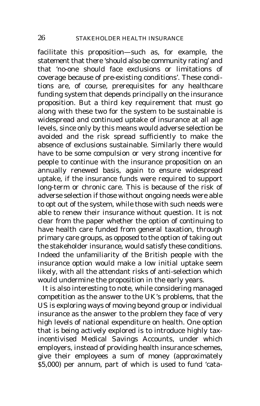facilitate this proposition—such as, for example, the statement that there 'should also be community rating' and that 'no-one should face exclusions or limitations of coverage because of pre-existing conditions'. These conditions are, of course, prerequisites for any healthcare funding system that depends principally on the insurance proposition. But a third key requirement that must go along with these two for the system to be sustainable is widespread and continued uptake of insurance at all age levels, since only by this means would adverse selection be avoided and the risk spread sufficiently to make the absence of exclusions sustainable. Similarly there would have to be some compulsion or very strong incentive for people to continue with the insurance proposition on an annually renewed basis, again to ensure widespread uptake, if the insurance funds were required to support long-term or chronic care. This is because of the risk of adverse selection if those without ongoing needs were able to opt out of the system, while those with such needs were able to renew their insurance without question. It is not clear from the paper whether the option of continuing to have health care funded from general taxation, through primary care groups, as opposed to the option of taking out the stakeholder insurance, would satisfy these conditions. Indeed the unfamiliarity of the British people with the insurance option would make a low initial uptake seem likely, with all the attendant risks of anti-selection which would undermine the proposition in the early years.

It is also interesting to note, while considering managed competition as the answer to the UK's problems, that the US is exploring ways of moving beyond group or individual insurance as the answer to the problem they face of very high levels of national expenditure on health. One option that is being actively explored is to introduce highly taxincentivised Medical Savings Accounts, under which employers, instead of providing health insurance schemes, give their employees a sum of money (approximately \$5,000) per annum, part of which is used to fund 'cata-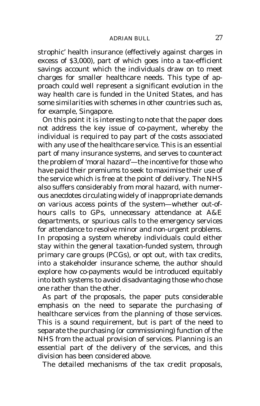#### ADRIAN BULL 27

strophic' health insurance (effectively against charges in excess of \$3,000), part of which goes into a tax-efficient savings account which the individuals draw on to meet charges for smaller healthcare needs. This type of approach could well represent a significant evolution in the way health care is funded in the United States, and has some similarities with schemes in other countries such as, for example, Singapore.

On this point it is interesting to note that the paper does not address the key issue of co-payment, whereby the individual is required to pay part of the costs associated with any use of the healthcare service. This is an essential part of many insurance systems, and serves to counteract the problem of 'moral hazard'—the incentive for those who have paid their premiums to seek to maximise their use of the service which is free at the point of delivery. The NHS also suffers considerably from moral hazard, with numerous anecdotes circulating widely of inappropriate demands on various access points of the system—whether out-ofhours calls to GPs, unnecessary attendance at A&E departments, or spurious calls to the emergency services for attendance to resolve minor and non-urgent problems. In proposing a system whereby individuals could either stay within the general taxation-funded system, through primary care groups (PCGs), or opt out, with tax credits, into a stakeholder insurance scheme, the author should explore how co-payments would be introduced equitably into both systems to avoid disadvantaging those who chose one rather than the other.

As part of the proposals, the paper puts considerable emphasis on the need to separate the *purchasing* of healthcare services from the *planning* of those services. This is a sound requirement, but is part of the need to separate the purchasing (or commissioning) function of the NHS from the actual provision of services. Planning is an essential part of the delivery of the services, and this division has been considered above.

The detailed mechanisms of the tax credit proposals,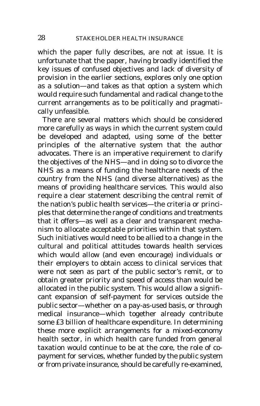which the paper fully describes, are not at issue. It is unfortunate that the paper, having broadly identified the key issues of confused objectives and lack of diversity of provision in the earlier sections, explores only one option as a solution—and takes as that option a system which would require such fundamental and radical change to the current arrangements as to be politically and pragmatically unfeasible.

There are several matters which should be considered more carefully as ways in which the current system could be developed and adapted, using some of the better principles of the alternative system that the author advocates. There is an imperative requirement to clarify the objectives of the NHS—and in doing so to divorce the NHS as a means of funding the healthcare needs of the country from the NHS (and diverse alternatives) as the means of providing healthcare services. This would also require a clear statement describing the central remit of the nation's public health services—the criteria or principles that determine the range of conditions and treatments that it offers—as well as a clear and transparent mechanism to allocate acceptable priorities within that system. Such initiatives would need to be allied to a change in the cultural and political attitudes towards health services which would allow (and even encourage) individuals or their employers to obtain access to clinical services that were not seen as part of the public sector's remit, or to obtain greater priority and speed of access than would be allocated in the public system. This would allow a significant expansion of self-payment for services outside the public sector—whether on a pay-as-used basis, or through medical insurance—which together already contribute some £3 billion of healthcare expenditure. In determining these more explicit arrangements for a mixed-economy health sector, in which health care funded from general taxation would continue to be at the core, the role of copayment for services, whether funded by the public system or from private insurance, should be carefully re-examined,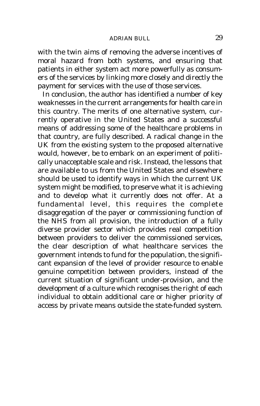with the twin aims of removing the adverse incentives of moral hazard from both systems, and ensuring that patients in either system act more powerfully as consumers of the services by linking more closely and directly the payment for services with the use of those services.

In conclusion, the author has identified a number of key weaknesses in the current arrangements for health care in this country. The merits of one alternative system, currently operative in the United States and a successful means of addressing some of the healthcare problems in that country, are fully described. A radical change in the UK from the existing system to the proposed alternative would, however, be to embark on an experiment of politically unacceptable scale and risk. Instead, the lessons that are available to us from the United States and elsewhere should be used to identify ways in which the current UK system might be modified, to preserve what it is achieving and to develop what it currently does not offer. At a fundamental level, this requires the complete disaggregation of the payer or commissioning function of the NHS from all provision, the introduction of a fully diverse provider sector which provides real competition between providers to deliver the commissioned services, the clear description of what healthcare services the government intends to fund for the population, the significant expansion of the level of provider resource to enable genuine competition between providers, instead of the current situation of significant under-provision, and the development of a culture which recognises the right of each individual to obtain additional care or higher priority of access by private means outside the state-funded system.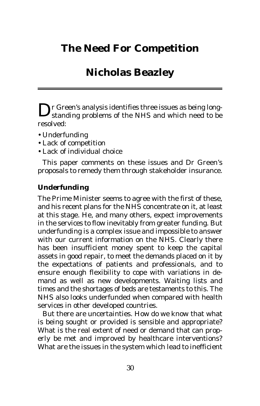# **The Need For Competition**

# **Nicholas Beazley**

In Green's analysis identifies three issues as being longstanding problems of the NHS and which need to be resolved:

- •Underfunding
- •Lack of competition
- •Lack of individual choice

This paper comments on these issues and Dr Green's proposals to remedy them through stakeholder insurance.

### *Underfunding*

The Prime Minister seems to agree with the first of these, and his recent plans for the NHS concentrate on it, at least at this stage. He, and many others, expect improvements in the services to flow inevitably from greater funding. But underfunding is a complex issue and impossible to answer with our current information on the NHS. Clearly there has been insufficient money spent to keep the capital assets in good repair, to meet the demands placed on it by the expectations of patients and professionals, and to ensure enough flexibility to cope with variations in demand as well as new developments. Waiting lists and times and the shortages of beds are testaments to this. The NHS also looks underfunded when compared with health services in other developed countries.

But there are uncertainties. How do we know that what is being sought or provided is sensible and appropriate? What is the real extent of need or demand that can properly be met and improved by healthcare interventions? What are the issues in the system which lead to inefficient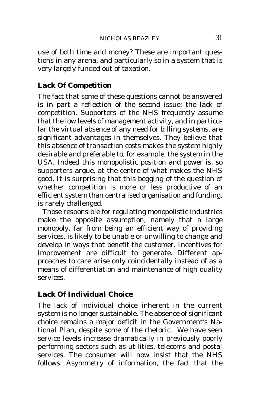use of both time and money? These are important questions in any arena, and particularly so in a system that is very largely funded out of taxation.

# *Lack Of Competition*

The fact that some of these questions cannot be answered is in part a reflection of the second issue: the lack of competition. Supporters of the NHS frequently assume that the low levels of management activity, and in particular the virtual absence of any need for billing systems, are significant advantages in themselves. They believe that this absence of transaction costs makes the system highly desirable and preferable to, for example, the system in the USA. Indeed this monopolistic position and power is, so supporters argue, at the centre of what makes the NHS good. It is surprising that this begging of the question of whether competition is more or less productive of an efficient system than centralised organisation and funding, is rarely challenged.

Those responsible for regulating monopolistic industries make the opposite assumption, namely that a large monopoly, far from being an efficient way of providing services, is likely to be unable or unwilling to change and develop in ways that benefit the customer. Incentives for improvement are difficult to generate. Different approaches to care arise only coincidentally instead of as a means of differentiation and maintenance of high quality services.

# *Lack Of Individual Choice*

The lack of individual choice inherent in the current system is no longer sustainable. The absence of significant choice remains a major deficit in the Government's National Plan, despite some of the rhetoric. We have seen service levels increase dramatically in previously poorly performing sectors such as utilities, telecoms and postal services. The consumer will now insist that the NHS follows. Asymmetry of information, the fact that the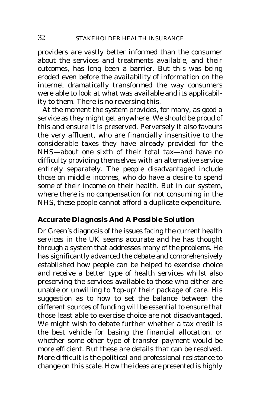providers are vastly better informed than the consumer about the services and treatments available, and their outcomes, has long been a barrier. But this was being eroded even before the availability of information on the internet dramatically transformed the way consumers were able to look at what was available and its applicability to them. There is no reversing this.

At the moment the system provides, for many, as good a service as they might get anywhere. We should be proud of this and ensure it is preserved. Perversely it also favours the very affluent, who are financially insensitive to the considerable taxes they have already provided for the NHS—about one sixth of their total tax—and have no difficulty providing themselves with an alternative service entirely separately. The people disadvantaged include those on middle incomes, who do have a desire to spend some of their income on their health. But in our system, where there is no compensation for not consuming in the NHS, these people cannot afford a duplicate expenditure.

# *Accurate Diagnosis And A Possible Solution*

Dr Green's diagnosis of the issues facing the current health services in the UK seems accurate and he has thought through a system that addresses many of the problems. He has significantly advanced the debate and comprehensively established how people can be helped to exercise choice and receive a better type of health services whilst also preserving the services available to those who either are unable or unwilling to 'top-up' their package of care. His suggestion as to how to set the balance between the different sources of funding will be essential to ensure that those least able to exercise choice are not disadvantaged. We might wish to debate further whether a tax credit is the best vehicle for basing the financial allocation, or whether some other type of transfer payment would be more efficient. But these are details that can be resolved. More difficult is the political and professional resistance to change on this scale. How the ideas are presented is highly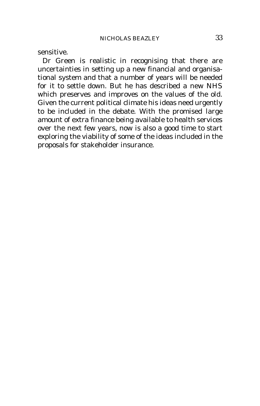sensitive.

Dr Green is realistic in recognising that there are uncertainties in setting up a new financial and organisational system and that a number of years will be needed for it to settle down. But he has described a new NHS which preserves and improves on the values of the old. Given the current political climate his ideas need urgently to be included in the debate. With the promised large amount of extra finance being available to health services over the next few years, now is also a good time to start exploring the viability of some of the ideas included in the proposals for stakeholder insurance.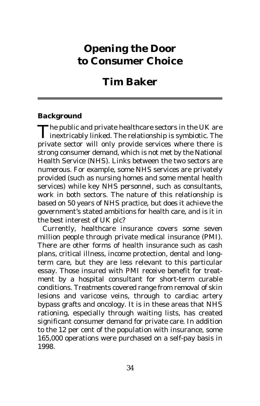# **Opening the Door to Consumer Choice**

# **Tim Baker**

## *Background*

The public and private healthcare sectors in the UK are inextricably linked. The relationship is symbiotic. The private sector will only provide services where there is strong consumer demand, which is not met by the National Health Service (NHS). Links between the two sectors are numerous. For example, some NHS services are privately provided (such as nursing homes and some mental health services) while key NHS personnel, such as consultants, work in both sectors. The nature of this relationship is based on 50 years of NHS practice, but does it achieve the government's stated ambitions for health care, and is it in the best interest of UK plc?

Currently, healthcare insurance covers some seven million people through private medical insurance (PMI). There are other forms of health insurance such as cash plans, critical illness, income protection, dental and longterm care, but they are less relevant to this particular essay. Those insured with PMI receive benefit for treatment by a hospital consultant for short-term curable conditions. Treatments covered range from removal of skin lesions and varicose veins, through to cardiac artery bypass grafts and oncology. It is in these areas that NHS rationing, especially through waiting lists, has created significant consumer demand for private care. In addition to the 12 per cent of the population with insurance, some 165,000 operations were purchased on a self-pay basis in 1998.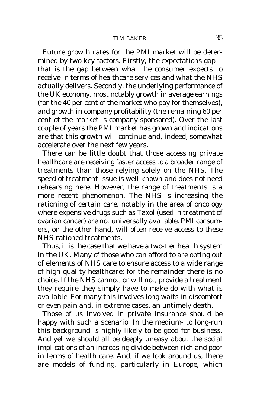#### TIM BAKER 35

Future growth rates for the PMI market will be determined by two key factors. Firstly, the expectations gap that is the gap between what the consumer expects to receive in terms of healthcare services and what the NHS actually delivers. Secondly, the underlying performance of the UK economy, most notably growth in average earnings (for the 40 per cent of the market who pay for themselves), and growth in company profitability (the remaining 60 per cent of the market is company-sponsored). Over the last couple of years the PMI market has grown and indications are that this growth will continue and, indeed, somewhat accelerate over the next few years.

There can be little doubt that those accessing private healthcare are receiving faster access to a broader range of treatments than those relying solely on the NHS. The speed of treatment issue is well known and does not need rehearsing here. However, the range of treatments is a more recent phenomenon. The NHS is increasing the rationing of certain care, notably in the area of oncology where expensive drugs such as Taxol (used in treatment of ovarian cancer) are not universally available. PMI consumers, on the other hand, will often receive access to these NHS-rationed treatments.

Thus, it is the case that we have a two-tier health system in the UK. Many of those who can afford to are opting out of elements of NHS care to ensure access to a wide range of high quality healthcare: for the remainder there is no choice. If the NHS cannot, or will not, provide a treatment they require they simply have to make do with what is available. For many this involves long waits in discomfort or even pain and, in extreme cases, an untimely death.

Those of us involved in private insurance should be happy with such a scenario. In the medium- to long-run this background is highly likely to be good for business. And yet we should all be deeply uneasy about the social implications of an increasing divide between rich and poor in terms of health care. And, if we look around us, there are models of funding, particularly in Europe, which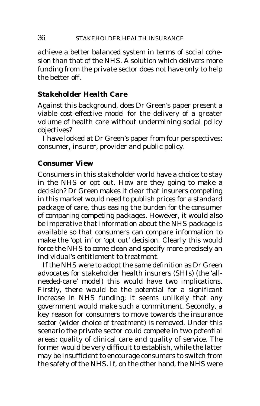achieve a better balanced system in terms of social cohesion than that of the NHS. A solution which delivers more funding from the private sector does not have only to help the better off.

# *Stakeholder Health Care*

Against this background, does Dr Green's paper present a viable cost-effective model for the delivery of a greater volume of health care without undermining social policy objectives?

I have looked at Dr Green's paper from four perspectives: consumer, insurer, provider and public policy.

### *Consumer View*

Consumers in this stakeholder world have a choice: to stay in the NHS or opt out. How are they going to make a decision? Dr Green makes it clear that insurers competing in this market would need to publish prices for a standard package of care, thus easing the burden for the consumer of comparing competing packages. However, it would also be imperative that information about the NHS package is available so that consumers can compare information to make the 'opt in' or 'opt out' decision. Clearly this would force the NHS to come clean and specify more precisely an individual's entitlement to treatment.

If the NHS were to adopt the same definition as Dr Green advocates for stakeholder health insurers (SHIs) (the 'allneeded-care' model) this would have two implications. Firstly, there would be the potential for a significant increase in NHS funding; it seems unlikely that any government would make such a commitment. Secondly, a key reason for consumers to move towards the insurance sector (wider choice of treatment) is removed. Under this scenario the private sector could compete in two potential areas: quality of clinical care and quality of service. The former would be very difficult to establish, while the latter may be insufficient to encourage consumers to switch from the safety of the NHS. If, on the other hand, the NHS were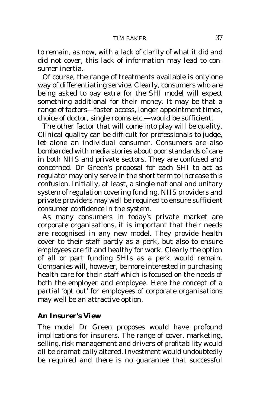#### TIM BAKER 37

to remain, as now, with a lack of clarity of what it did and did not cover, this lack of information may lead to consumer inertia.

Of course, the range of treatments available is only one way of differentiating service. Clearly, consumers who are being asked to pay extra for the SHI model will expect something additional for their money. It may be that a range of factors—faster access, longer appointment times, choice of doctor, single rooms etc.—would be sufficient.

The other factor that will come into play will be quality. Clinical quality can be difficult for professionals to judge, let alone an individual consumer. Consumers are also bombarded with media stories about poor standards of care in both NHS and private sectors. They are confused and concerned. Dr Green's proposal for each SHI to act as regulator may only serve in the short term to increase this confusion. Initially, at least, a single national and unitary system of regulation covering funding, NHS providers and private providers may well be required to ensure sufficient consumer confidence in the system.

As many consumers in today's private market are corporate organisations, it is important that their needs are recognised in any new model. They provide health cover to their staff partly as a perk, but also to ensure employees are fit and healthy for work. Clearly the option of all or part funding SHIs as a perk would remain. Companies will, however, be more interested in purchasing health care for their staff which is focused on the needs of both the employer and employee. Here the concept of a partial 'opt out' for employees of corporate organisations may well be an attractive option.

### *An Insurer's View*

The model Dr Green proposes would have profound implications for insurers. The range of cover, marketing, selling, risk management and drivers of profitability would all be dramatically altered. Investment would undoubtedly be required and there is no guarantee that successful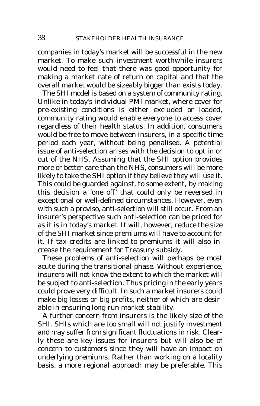companies in today's market will be successful in the new market. To make such investment worthwhile insurers would need to feel that there was good opportunity for making a market rate of return on capital and that the overall market would be sizeably bigger than exists today.

The SHI model is based on a system of community rating. Unlike in today's individual PMI market, where cover for pre-existing conditions is either excluded or loaded, community rating would enable everyone to access cover regardless of their health status. In addition, consumers would be free to move between insurers, in a specific time period each year, without being penalised. A potential issue of anti-selection arises with the decision to opt in or out of the NHS. Assuming that the SHI option provides more or better care than the NHS, consumers will be more likely to take the SHI option if they believe they will use it. This could be guarded against, to some extent, by making this decision a 'one off' that could only be reversed in exceptional or well-defined circumstances. However, even with such a proviso, anti-selection will still occur. From an insurer's perspective such anti-selection can be priced for as it is in today's market. It will, however, reduce the size of the SHI market since premiums will have to account for it. If tax credits are linked to premiums it will also increase the requirement for Treasury subsidy.

These problems of anti-selection will perhaps be most acute during the transitional phase. Without experience, insurers will not know the extent to which the market will be subject to anti-selection. Thus pricing in the early years could prove very difficult. In such a market insurers could make big losses or big profits, neither of which are desirable in ensuring long-run market stability.

A further concern from insurers is the likely size of the SHI. SHIs which are too small will not justify investment and may suffer from significant fluctuations in risk. Clearly these are key issues for insurers but will also be of concern to customers since they will have an impact on underlying premiums. Rather than working on a locality basis, a more regional approach may be preferable. This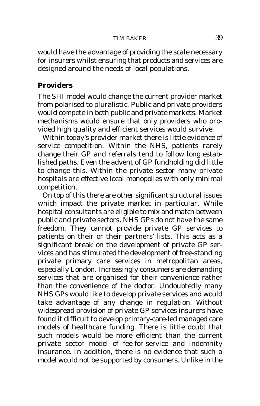#### TIM BAKER 39

would have the advantage of providing the scale necessary for insurers whilst ensuring that products and services are designed around the needs of local populations.

# *Providers*

The SHI model would change the current provider market from polarised to pluralistic. Public and private providers would compete in both public and private markets. Market mechanisms would ensure that only providers who provided high quality and efficient services would survive.

Within today's provider market there is little evidence of service competition. Within the NHS, patients rarely change their GP and referrals tend to follow long established paths. Even the advent of GP fundholding did little to change this. Within the private sector many private hospitals are effective local monopolies with only minimal competition.

On top of this there are other significant structural issues which impact the private market in particular. While hospital consultants are eligible to mix and match between public and private sectors, NHS GPs do not have the same freedom. They cannot provide private GP services to patients on their or their partners' lists. This acts as a significant break on the development of private GP services and has stimulated the development of free-standing private primary care services in metropolitan areas, especially London. Increasingly consumers are demanding services that are organised for their convenience rather than the convenience of the doctor. Undoubtedly many NHS GPs would like to develop private services and would take advantage of any change in regulation. Without widespread provision of private GP services insurers have found it difficult to develop primary-care-led managed care models of healthcare funding. There is little doubt that such models would be more efficient than the current private sector model of fee-for-service and indemnity insurance. In addition, there is no evidence that such a model would not be supported by consumers. Unlike in the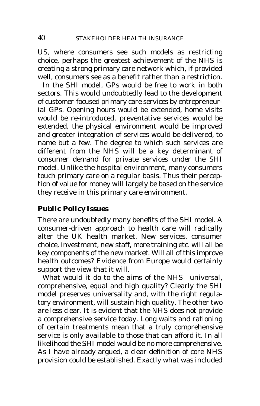US, where consumers see such models as restricting choice, perhaps the greatest achievement of the NHS is creating a strong primary care network which, if provided well, consumers see as a benefit rather than a restriction.

In the SHI model, GPs would be free to work in both sectors. This would undoubtedly lead to the development of customer-focused primary care services by entrepreneurial GPs. Opening hours would be extended, home visits would be re-introduced, preventative services would be extended, the physical environment would be improved and greater integration of services would be delivered, to name but a few. The degree to which such services are different from the NHS will be a key determinant of consumer demand for private services under the SHI model. Unlike the hospital environment, many consumers touch primary care on a regular basis. Thus their perception of value for money will largely be based on the service they receive in this primary care environment.

# *Public Policy Issues*

There are undoubtedly many benefits of the SHI model. A consumer-driven approach to health care will radically alter the UK health market. New services, consumer choice, investment, new staff, more training etc. will all be key components of the new market. Will all of this improve health outcomes? Evidence from Europe would certainly support the view that it will.

What would it do to the aims of the NHS—universal, comprehensive, equal and high quality? Clearly the SHI model preserves universality and, with the right regulatory environment, will sustain high quality. The other two are less clear. It is evident that the NHS does not provide a comprehensive service today. Long waits and rationing of certain treatments mean that a truly comprehensive service is only available to those that can afford it. In all likelihood the SHI model would be no more comprehensive. As I have already argued, a clear definition of core NHS provision could be established. Exactly what was included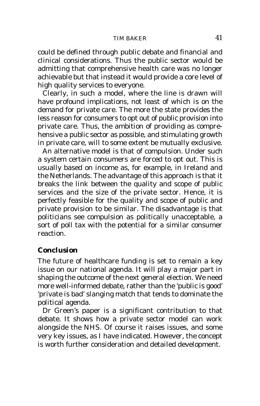could be defined through public debate and financial and clinical considerations. Thus the public sector would be admitting that comprehensive health care was no longer achievable but that instead it would provide a core level of high quality services to everyone.

Clearly, in such a model, where the line is drawn will have profound implications, not least of which is on the demand for private care. The more the state provides the less reason for consumers to opt out of public provision into private care. Thus, the ambition of providing as comprehensive a public sector as possible, and stimulating growth in private care, will to some extent be mutually exclusive.

An alternative model is that of compulsion. Under such a system certain consumers are forced to opt out. This is usually based on income as, for example, in Ireland and the Netherlands. The advantage of this approach is that it breaks the link between the quality and scope of public services and the size of the private sector. Hence, it is perfectly feasible for the quality and scope of public and private provision to be similar. The disadvantage is that politicians see compulsion as politically unacceptable, a sort of poll tax with the potential for a similar consumer reaction.

### *Conclusion*

The future of healthcare funding is set to remain a key issue on our national agenda. It will play a major part in shaping the outcome of the next general election. We need more well-informed debate, rather than the 'public is good' 'private is bad' slanging match that tends to dominate the political agenda.

Dr Green's paper is a significant contribution to that debate. It shows how a private sector model can work alongside the NHS. Of course it raises issues, and some very key issues, as I have indicated. However, the concept is worth further consideration and detailed development.